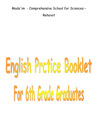### Mada'im - Comprehensive School for Sciences -Rehovot

# English Pretice Booklet For 6th Grade Graduates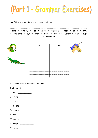## (Part 1 - Grammar Exercises)

A). Fill in the words in the correct column.



- B). Change from Singular to Plural.
- ball balls
- $1. \text{ bus}$  -
- 2. knife \_\_\_\_\_\_\_\_\_\_
- $3.$  toy -
- 4. mouse \_\_\_\_\_\_\_\_\_\_
- 5. cake \_\_\_\_\_\_\_\_\_\_
- 6.  $fly -$
- 7. woman \_\_\_\_\_\_\_\_\_\_
- 8. witch <u>\_\_\_\_\_\_\_\_</u>
- 9. class \_\_\_\_\_\_\_\_\_\_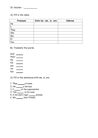10. teacher - \_\_\_\_\_\_\_\_\_\_

A). Fill in the table.

| Pronouns       | Verb be: am, is, are | <b>Hebrew</b> |
|----------------|----------------------|---------------|
| He             |                      |               |
|                |                      |               |
|                |                      |               |
| They<br>She    |                      |               |
| We             |                      |               |
| I <sub>t</sub> |                      |               |
| You            |                      |               |

B). Translate the words.

your \_\_\_\_\_ their  $\_\_$  $my \tightharpoonup$ his  $\_\_$ our \_\_\_\_\_ its \_\_\_\_\_  $her \n\overline{\n\qquad \qquad }$ 

C). Fill in the sentences with am, is, are.

1. They \_\_\_\_\_ at home.

2. He \_\_\_\_\_ a tall man.

3. I \_\_\_\_\_\_\_ at the supermarket.

4. Tom \_\_\_\_\_ in his room.

5. A lion and a tiger \_\_\_\_\_ animals.

6. We \_\_\_\_\_ best friends.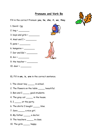#### **Pronouns and Verb Be**

Fill in the correct Pronoun: **you, he, she, it, we, they**.

- 1. David = he
- 2. bag =  $\frac{1}{2}$
- 3. boys and girls  $=$
- 4. Anat and I = \_\_\_\_\_\_\_\_
- 5. pens =  $\frac{1}{2}$
- 6. kangaroo = \_\_\_\_\_\_\_\_
- 7. Dor and  $Gal =$
- $8. Avi =$
- 9. the teacher  $=$
- 10. door = \_\_\_\_\_\_\_\_
- B). Fill in **am, is, are** in the correct sentence.
- 1. The clever boy \_\_\_\_\_\_ in school.
- 2. The flowers on the table \_\_\_\_\_ beautiful.
- 3. Ben and I \_\_\_\_\_\_ good students.
- 4. The gray cat \_\_\_\_\_ in the house.
- $5. I$  \_\_\_\_\_\_ at the party.
- 6. The shirts I bought \_\_\_\_\_ blue.
- 7. Sara \_\_\_\_\_ a nice girl.
- 8. My father \_\_\_\_\_\_ a doctor.
- 9. The teachers \_\_\_\_\_ in class.
- 10. The girls \_\_\_\_\_ happy.





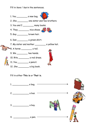Fill in *have / has* in the sentences.



Fill in either **This is** or **That is**.

| 1. | $\equiv$ a bag. |  |
|----|-----------------|--|
| 2. | a bus.          |  |
| 3. | $\equiv$ a boy. |  |
| 4. | $\equiv$ a pen. |  |

 $\overline{\phantom{0}}$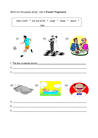

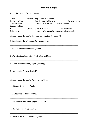#### **Present Simple**

#### Fill in the correct form of the verb.

- 1. We \_\_\_\_\_\_\_\_\_\_ (study) many subjects in school.
- 2. Dafna often \_\_\_\_\_\_\_\_\_\_\_(catch) a cold after she \_\_\_\_\_\_\_\_\_\_(take) a shower.
- 3. Oren always \_\_\_\_\_\_\_\_\_\_\_\_\_\_(try) to do his best after the teacher \_\_\_\_\_\_\_\_\_\_\_\_
- (speak) to him.
- 4. I \_\_\_\_\_\_\_\_\_\_\_\_\_\_ (brush) my teeth after I \_\_\_\_\_\_\_\_\_\_\_\_\_ (eat) sweets.
- 5. Ronen only \_\_\_\_\_\_\_\_\_\_\_\_ (like) to play computer games with his friends.

\_\_\_\_\_\_\_\_\_\_\_\_\_\_\_\_\_\_\_\_\_\_\_\_\_\_\_\_\_\_\_\_\_\_\_\_\_\_\_\_\_\_\_\_\_\_\_\_\_\_\_\_\_\_\_\_\_\_\_\_

\_\_\_\_\_\_\_\_\_\_\_\_\_\_\_\_\_\_\_\_\_\_\_\_\_\_\_\_\_\_\_\_\_\_\_\_\_\_\_\_\_\_\_\_\_\_\_\_\_\_\_\_\_\_\_\_\_\_\_\_

\_\_\_\_\_\_\_\_\_\_\_\_\_\_\_\_\_\_\_\_\_\_\_\_\_\_\_\_\_\_\_\_\_\_\_\_\_\_\_\_\_\_\_\_\_\_\_\_\_\_\_\_\_\_\_\_\_\_\_\_

\_\_\_\_\_\_\_\_\_\_\_\_\_\_\_\_\_\_\_\_\_\_\_\_\_\_\_\_\_\_\_\_\_\_\_\_\_\_\_\_\_\_\_\_\_\_\_\_\_\_\_\_\_\_\_\_\_\_\_\_

\_\_\_\_\_\_\_\_\_\_\_\_\_\_\_\_\_\_\_\_\_\_\_\_\_\_\_\_\_\_\_\_\_\_\_\_\_\_\_\_\_\_\_\_\_\_\_\_\_\_\_\_\_\_\_\_\_\_\_\_

\_\_\_\_\_\_\_\_\_\_\_\_\_\_\_\_\_\_\_\_\_\_\_\_\_\_\_\_\_\_\_\_\_\_\_\_\_\_\_\_\_\_\_\_\_\_\_\_\_\_\_\_\_\_\_\_\_\_\_\_

\_\_\_\_\_\_\_\_\_\_\_\_\_\_\_\_\_\_\_\_\_\_\_\_\_\_\_\_\_\_\_\_\_\_\_\_\_\_\_\_\_\_\_\_\_\_\_\_\_\_\_\_\_\_\_\_\_\_\_\_

\_\_\_\_\_\_\_\_\_\_\_\_\_\_\_\_\_\_\_\_\_\_\_\_\_\_\_\_\_\_\_\_\_\_\_\_\_\_\_\_\_\_\_\_\_\_\_\_\_\_\_\_\_\_\_\_\_\_\_\_

\_\_\_\_\_\_\_\_\_\_\_\_\_\_\_\_\_\_\_\_\_\_\_\_\_\_\_\_\_\_\_\_\_\_\_\_\_\_\_\_\_\_\_\_\_\_\_\_\_\_\_\_\_\_\_\_\_\_\_\_

 $\overline{\phantom{a}}$ 

#### Change the sentences to the negative form (don't / doesn't).

1. We sleep in the afternoon. (in the morning)

2. Robert likes scary movies. (action)

3. My friends drink a lot of fruit juice. (coffee)

4. Their dog barks every night. (morning)

5. Dina speaks French. (English)

#### Change the sentences to Yes / No questions.

1. Children drink a lot of milk.

2. I usually go to school by bus.

3. My parents read a newspaper every day.

4. We take many trips together.

5. She speaks two different languages.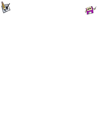

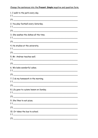#### Change the sentences into the Present Simple negative and question form.

| 1. I walk to the park every day.                                                                                                                                                                                                                                                                                                                                                                                                                                                                                                                                                    |
|-------------------------------------------------------------------------------------------------------------------------------------------------------------------------------------------------------------------------------------------------------------------------------------------------------------------------------------------------------------------------------------------------------------------------------------------------------------------------------------------------------------------------------------------------------------------------------------|
|                                                                                                                                                                                                                                                                                                                                                                                                                                                                                                                                                                                     |
| 2. You play football every Saturday.                                                                                                                                                                                                                                                                                                                                                                                                                                                                                                                                                |
| $\left( 2\right)$ $\qquad$                                                                                                                                                                                                                                                                                                                                                                                                                                                                                                                                                          |
| 3. She washes the dishes all the time.                                                                                                                                                                                                                                                                                                                                                                                                                                                                                                                                              |
| $\left( 2\right) \begin{array}{c} \begin{array}{c} \begin{array}{c} \end{array}\\ \begin{array}{c} \end{array}\\ \begin{array}{c} \end{array}\\ \begin{array}{c} \end{array}\\ \begin{array}{c} \end{array}\\ \begin{array}{c} \end{array}\\ \begin{array}{c} \end{array}\\ \begin{array}{c} \end{array}\\ \begin{array}{c} \end{array}\\ \begin{array}{c} \end{array}\\ \begin{array}{c} \end{array}\\ \begin{array}{c} \end{array}\\ \begin{array}{c} \end{array}\\ \begin{array}{c} \end{array}\\ \begin{array}{c} \end{array}\\ \begin{array}{c} \end{array}\\ \begin{array}{c$ |
| 4. He studies at the university.                                                                                                                                                                                                                                                                                                                                                                                                                                                                                                                                                    |
| $(2)$ $\overline{\phantom{a}}$                                                                                                                                                                                                                                                                                                                                                                                                                                                                                                                                                      |
| 5. Mr. Andrew teaches well.                                                                                                                                                                                                                                                                                                                                                                                                                                                                                                                                                         |
| $\left( \mathbf{r}\right) =\frac{1}{\left( \mathbf{r}\right) ^{2}}\left( \mathbf{r}\right) ^{2}\left( \mathbf{r}\right) ^{2}\left( \mathbf{r}\right)$                                                                                                                                                                                                                                                                                                                                                                                                                               |
| 6. We bake wonderful cakes.                                                                                                                                                                                                                                                                                                                                                                                                                                                                                                                                                         |
| $(2)$ $\overline{\phantom{a}}$                                                                                                                                                                                                                                                                                                                                                                                                                                                                                                                                                      |
| 7. I do my homework in the morning.                                                                                                                                                                                                                                                                                                                                                                                                                                                                                                                                                 |
| $\left(2\right)$                                                                                                                                                                                                                                                                                                                                                                                                                                                                                                                                                                    |
| 8. Lily goes to a piano lesson on Sunday.                                                                                                                                                                                                                                                                                                                                                                                                                                                                                                                                           |
| $\left( 2\right)$ $\qquad$                                                                                                                                                                                                                                                                                                                                                                                                                                                                                                                                                          |
| 9. She likes to eat pizza.                                                                                                                                                                                                                                                                                                                                                                                                                                                                                                                                                          |
| $\left( 2\right) \fbox{---}$                                                                                                                                                                                                                                                                                                                                                                                                                                                                                                                                                        |
| 10. Or takes the bus to school.                                                                                                                                                                                                                                                                                                                                                                                                                                                                                                                                                     |
| $(2)$ $\overline{\phantom{a}}$                                                                                                                                                                                                                                                                                                                                                                                                                                                                                                                                                      |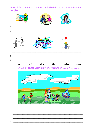#### WRITE FACTS ABOUT WHAT THE PEOPLE USUALLY DO (Present Simple)



WHAT IS HAPPENING IN THE PICTURE? (Present Progressive)



 $1.$  $2.$  $\mathbf{4}$ .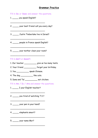#### **Grammar Practice**

Fill in **Do** or **Does** and answer the questions.

- 1. \_\_\_\_\_ you speak English?
- 2. \_\_\_\_\_ your best friend call you every day?
- 3. Justin Timberlake live in Israel?

\_\_\_\_\_\_\_\_\_\_\_\_\_\_\_\_\_\_\_\_\_\_\_\_\_\_\_\_

\_\_\_\_\_\_\_\_\_\_\_\_\_\_\_\_\_\_\_\_\_\_\_\_\_\_\_\_

\_\_\_\_\_\_\_\_\_\_\_\_\_\_\_\_\_\_\_\_\_\_\_\_\_\_\_\_

\_\_\_\_\_\_\_\_\_\_\_\_\_\_\_\_\_\_\_\_\_\_\_\_\_\_\_\_

\_\_\_\_\_\_\_\_\_\_\_\_\_\_\_\_\_\_\_\_\_\_\_\_\_\_\_\_

- 4. \_\_\_\_\_ people in France speak English?
- 5. \_\_\_\_\_ your mother clean your room?

#### Fill in **don't** or **doesn't.**

- 1. Our teacher \_\_\_\_\_\_\_\_\_\_\_\_ give us too many tests.
- 2. Your friend \_\_\_\_\_\_\_\_\_\_\_ forget your birthday.
- 3. You \_\_\_\_\_\_\_\_\_\_ speak Chinese.
- 4. The dog \_\_\_\_\_\_\_\_\_\_ like cats.
- 5. Dana and Tal \_\_\_\_\_\_\_\_\_\_ eat chicken.
- Fill in **Am / Is / Are** and answer the questions.
- 1. \_\_\_\_\_\_ I your English teacher?
- 2. \_\_\_\_\_ you tired of watching T.V.?

\_\_\_\_\_\_\_\_\_\_\_\_\_\_\_\_\_\_\_\_\_\_\_\_\_\_\_\_

\_\_\_\_\_\_\_\_\_\_\_\_\_\_\_\_\_\_\_\_\_\_\_\_\_\_\_\_

\_\_\_\_\_\_\_\_\_\_\_\_\_\_\_\_\_\_\_\_\_\_\_\_\_\_\_\_

\_\_\_\_\_\_\_\_\_\_\_\_\_\_\_\_\_\_\_\_\_\_\_\_\_\_\_\_

\_\_\_\_\_\_\_\_\_\_\_\_\_\_\_\_\_\_\_\_\_\_\_\_\_\_\_\_

- 3. \_\_\_\_\_ your pen in your hand?
- 4. \_\_\_\_\_ elephants smart?
- 5. \_\_\_\_\_ your name Mor?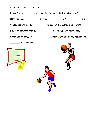Fill in the verbs in Present Tense.

**Erez:** Dan, **1.** \_\_\_\_\_\_\_\_ you want to play basketball with Ron later?

**Dan:** Yes, I **2.** \_\_\_\_\_\_\_\_\_\_. But, **3.** \_\_\_\_\_\_\_\_\_\_ he **4.** \_\_\_\_\_\_\_\_\_ (like)

to play basketball? **5.** \_\_\_\_\_\_\_\_\_\_ he good at the game? I don't want to

play with someone that **6.** \_\_\_\_\_\_\_\_\_\_\_ (not know) know how to play.

**Erez:** Don't worry, he **7.** \_\_\_\_\_\_\_\_\_\_\_ (know) what he's doing. Actually, he

\_\_\_\_\_\_\_ (be) very good.



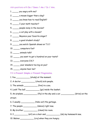#### Ask questions with **Do / Does / Am / Is / Are.**

- 1. \_\_\_\_\_ you angry with me?
- 2. \_\_\_\_\_ a mouse bigger than a dog?
- 3. \_\_\_\_\_ you know how to read English?
- 4. \_\_\_\_\_\_ I your math teacher?
- 5. \_\_\_\_\_ people noisy in the movies?
- 6. \_\_\_\_\_ a cat play with a mouse?
- 7. \_\_\_\_\_ Beyonce your favorite singer?
- 8. \_\_\_\_\_ a good student study?
- 9. \_\_\_\_\_ you watch Spanish shows on T.V.?
- 10. \_\_\_\_\_\_\_ computers fun?
- 11. \_\_\_\_\_ animals talk?
- 12. \_\_\_\_\_ you want to get a hundred on your tests?
- 13. \_\_\_\_\_ everyone O.K.?
- 14. \_\_\_\_\_ your sneakers too big on you?
- 15. anyone hear me?
- Fill in **Present Simple** or **Present Progressive**.
- 1. You  $\sqrt{3}$  (study) at the moment.
- 2. A doctor \_\_\_\_\_\_\_\_\_\_\_\_ (check) sick people.
- 3. The animals  $\frac{1}{2}$  (live) in a zoo.
- 4. Look! The ball \_\_\_\_\_\_\_\_\_\_\_ (go) inside the basket.
- 5. An airplane \_\_\_\_\_\_\_\_\_\_\_\_ (fly) in the sky and a car \_\_\_\_\_\_\_\_\_\_\_ (drive) on the
- street.
- 6. I usually \_\_\_\_\_\_\_\_\_\_\_ (take out) the garbage.
- 7. The people \_\_\_\_\_\_\_\_\_\_\_\_\_(dance) right now.
- 8. My brother \_\_\_\_\_\_\_\_\_\_\_ (clean) his room.
- 9. I \_\_\_\_\_\_\_\_\_\_\_\_\_ (sit) on a chair and \_\_\_\_\_\_\_\_\_\_\_\_\_ (do) my homework now.
- 10. Babies \_\_\_\_\_\_\_\_\_\_\_\_ (cry) when they are hungry.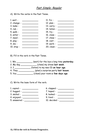#### Past Simple- Regular

A). Write the verbs in the Past Tense.

| 1. wait -      |                                                                                                                                                                                                                                      | 11. $fix -$ |                             |
|----------------|--------------------------------------------------------------------------------------------------------------------------------------------------------------------------------------------------------------------------------------|-------------|-----------------------------|
|                | 2. change - $\frac{1}{2}$                                                                                                                                                                                                            |             | 12. plan -                  |
| 3. bake -      |                                                                                                                                                                                                                                      |             |                             |
| $4. rub -$     |                                                                                                                                                                                                                                      |             |                             |
| 5. walk -      |                                                                                                                                                                                                                                      |             |                             |
| $6.$ enter $-$ | <u> 1980 - Jan Barbara Barbara, maso a popular popular e popular de la propia de la propia de la propia de la propia de la propia de la propia de la propia de la propia de la propia de la propia de la propia de la propia de </u> |             |                             |
| 7. need -      |                                                                                                                                                                                                                                      |             | 17. chew - $\qquad \qquad$  |
| 8. play -      |                                                                                                                                                                                                                                      |             | 18. visit - $\qquad \qquad$ |
| 9. die -       |                                                                                                                                                                                                                                      |             | 19. work - ________________ |
| $10.$ stop -   |                                                                                                                                                                                                                                      | 20. clean - |                             |
|                |                                                                                                                                                                                                                                      |             |                             |

B). Fill in the verb in the Past Tense.

- 1. We \_\_\_\_\_\_\_\_\_\_\_\_ (wait) for the bus a long time **yesterday**.
- 2. My dog \_\_\_\_\_\_\_\_\_\_\_\_ (chew) my dress **last week**.
- 3. I \_\_\_\_\_\_\_\_\_\_\_\_ (listen) to my new CD **an hour ago**.
- 4. They \_\_\_\_\_\_\_\_\_\_\_\_ (plan) a surprise party **last lesson**.
- 5. You \_\_\_\_\_\_\_\_\_\_\_\_ (clean) your room **a few days ago**.

C). Write the base form of the verb.

| 1. $\mathsf{copied}$ - | 6. clapped -   |
|------------------------|----------------|
| 2. hugged -            | $7.$ hoped $-$ |
| $3.$ smiled $-$        | 8. looked -    |
| 4. enjoyed -           | 9. lived -     |

5. answered - \_\_\_\_\_\_\_\_\_\_\_ 10. decided - \_\_\_\_\_\_\_\_\_\_\_

#### **A). Fill in the verb in Present Progressive.**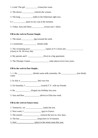- 1. Look! The girl \_\_\_\_\_\_\_\_\_\_\_ (clean) her room.
- 2. The doctor \_\_\_\_\_\_\_\_\_\_ (check) the woman.
- 3. The king \_\_\_\_\_\_\_\_\_\_\_ (talk) to the fisherman right now.
- 4. I  $(\text{put})$  on my coat at the moment.
- 5. Today, Sara and Dana  $($ wear) size 1 shirts.

#### **Fill in the verb in Present Simple.**

- 1. The moon \_\_\_\_\_\_\_\_\_\_\_\_ (go) around the earth.
- 2. I sometimes (drink) milk.
- 3. The swimming pool  $\qquad \qquad$  (open) at 9 o'clock and (close) at 18: 30 every day.
- 4. My parents and I \_\_\_\_\_\_\_\_\_\_\_\_\_\_ (live) in a big apartment.
- 5. The Olympic Games \_\_\_\_\_\_\_\_\_\_\_\_\_\_\_\_\_ (take place) every four years.

#### **Fill in the verb in Past Simple..**

1. 1. He \_\_\_\_\_\_\_\_\_\_\_\_\_ (drink) some milk yesterday. He \_\_\_\_\_\_\_\_\_\_\_\_ (not drink) water.

- 2. In July it \_\_\_\_\_\_\_\_\_\_\_\_\_\_\_\_\_\_\_\_(be) very hot.
- 3. On Saturday, I \_\_\_\_\_\_\_\_\_\_\_\_\_\_ (watch) T.V. with my friends.
- 4. He \_\_\_\_\_\_\_\_\_\_\_\_\_\_ (forget) my birthday last year.
- 5. Sara and Ron \_\_\_\_\_\_\_\_\_\_\_\_\_\_ (drive) to Eilat last week.

#### **Fill in the verb in Future tense.**

- 1. Tomorrow, we  $\frac{1}{\sqrt{1-\frac{1}{\sqrt{1-\frac{1}{\sqrt{1-\frac{1}{\sqrt{1-\frac{1}{\sqrt{1-\frac{1}{\sqrt{1-\frac{1}{\sqrt{1-\frac{1}{\sqrt{1-\frac{1}{\sqrt{1-\frac{1}{\sqrt{1-\frac{1}{\sqrt{1-\frac{1}{\sqrt{1-\frac{1}{\sqrt{1-\frac{1}{\sqrt{1-\frac{1}{\sqrt{1-\frac{1}{\sqrt{1-\frac{1}{\sqrt{1-\frac{1}{\sqrt{1-\frac{1}{\sqrt{1-\frac{1}{\sqrt{1-\frac{1}{\sqrt{1-\frac{1}{\sqrt{1-\frac{1}{\$
- 2. Next week, I \_\_\_\_\_\_\_\_\_\_\_\_\_\_\_\_ (go) to Greece.
- 3. The teacher \_\_\_\_\_\_\_\_\_\_\_\_\_\_\_\_\_\_\_ (return) the test in a few days.
- 4. The bus \_\_\_\_\_\_\_\_\_\_\_\_\_\_\_\_ (stop) here in 10 minutes.
- 5. Sarit (play) in the tennis team this year.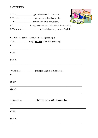#### **PAST SIMPLE**

|                   | 1. Dor _____________________ (go) to the Dead Sea last week.                |  |
|-------------------|-----------------------------------------------------------------------------|--|
|                   | 2. Daniel _______________(know) many English words.                         |  |
|                   | 3. We ______________________(turn on) the AC a minute ago.                  |  |
|                   | 4. I _______________ (bring) pens and pencils to school this morning.       |  |
|                   | 5. The teacher ______________________ (try) to help us improve our English. |  |
|                   | C). Write the sentences and questions in past simple.                       |  |
|                   | * He ______________ (buy) <b>his shirt</b> at the mall yesterday.           |  |
| $\left( -\right)$ |                                                                             |  |
| (Y/N?)            |                                                                             |  |
| $(Wh-?)$          |                                                                             |  |
| $\left( -\right)$ | * The kids _______________ (have) an English test last week                 |  |
| (Y/N?)            |                                                                             |  |
| $(Wh-?)$          |                                                                             |  |
| $\left( -\right)$ | * My parents ______________ (be) very happy with me <b>yesterday</b> .      |  |
| (Y/N?)            |                                                                             |  |
| $(Wh-?)$          |                                                                             |  |

٦